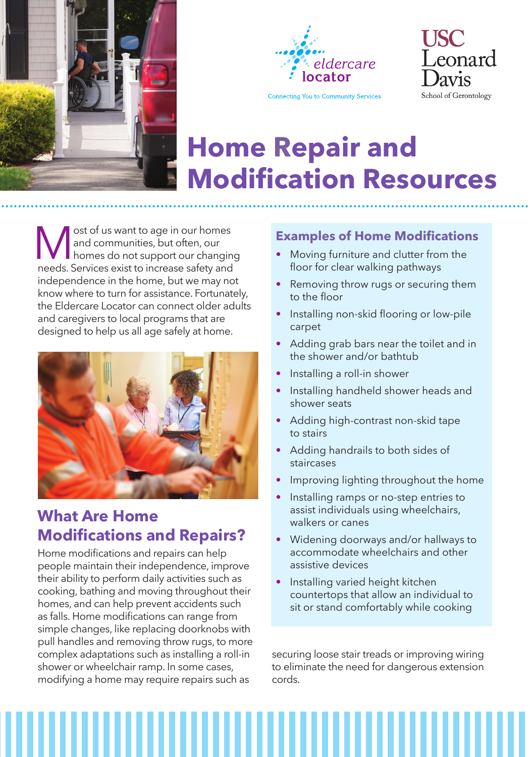





# **Home Repair and Modification Resources**

**M** ost of us want to age in our homes<br>and communities, but often, our<br>homes do not support our changin<br>needs. Services exist to increase safety and and communities, but often, our homes do not support our changing needs. Services exist to increase safety and independence in the home, but we may not know where to turn for assistance. Fortunately, the Eldercare Locator can connect older adults and caregivers to local programs that are designed to help us all age safely at home.



# **What Are Home Modifications and Repairs?**

Home modifications and repairs can help people maintain their independence, improve their ability to perform daily activities such as cooking, bathing and moving throughout their homes, and can help prevent accidents such as falls. Home modifications can range from simple changes, like replacing doorknobs with pull handles and removing throw rugs, to more complex adaptations such as installing a roll-in shower or wheelchair ramp. In some cases, modifying a home may require repairs such as

### **Examples of Home Modifications**

- Moving furniture and clutter from the floor for clear walking pathways
- Removing throw rugs or securing them to the floor
- Installing non-skid flooring or low-pile carpet
- Adding grab bars near the toilet and in the shower and/or bathtub
- Installing a roll-in shower
- Installing handheld shower heads and shower seats
- Adding high-contrast non-skid tape to stairs
- Adding handrails to both sides of staircases
- Improving lighting throughout the home
- Installing ramps or no-step entries to assist individuals using wheelchairs, walkers or canes
- Widening doorways and/or hallways to accommodate wheelchairs and other assistive devices
- Installing varied height kitchen countertops that allow an individual to sit or stand comfortably while cooking

securing loose stair treads or improving wiring to eliminate the need for dangerous extension cords.